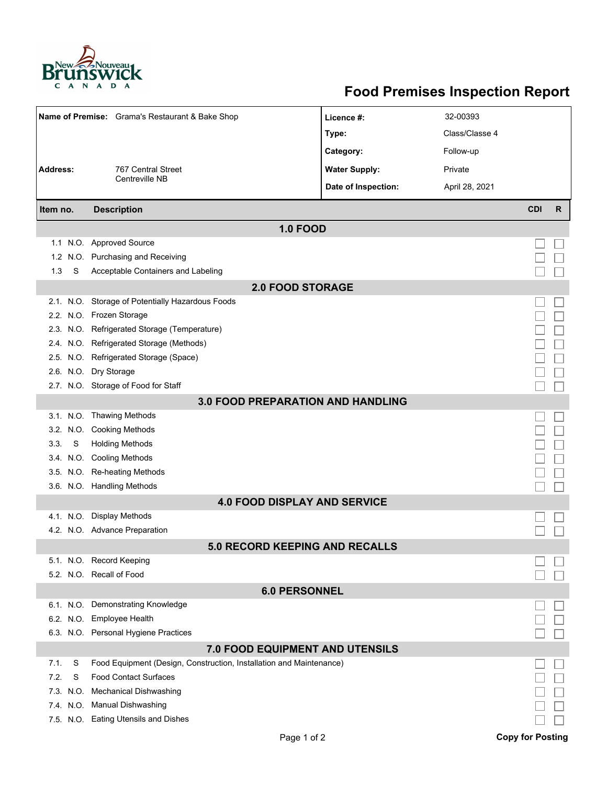

## **Food Premises Inspection Report**

|                                          |      | Name of Premise: Grama's Restaurant & Bake Shop                     | Licence #:           | 32-00393       |            |   |  |  |  |  |
|------------------------------------------|------|---------------------------------------------------------------------|----------------------|----------------|------------|---|--|--|--|--|
|                                          |      |                                                                     | Type:                | Class/Classe 4 |            |   |  |  |  |  |
|                                          |      |                                                                     | Category:            | Follow-up      |            |   |  |  |  |  |
| <b>Address:</b>                          |      | 767 Central Street                                                  | <b>Water Supply:</b> | Private        |            |   |  |  |  |  |
|                                          |      | Centreville NB                                                      | Date of Inspection:  | April 28, 2021 |            |   |  |  |  |  |
|                                          |      |                                                                     |                      |                |            |   |  |  |  |  |
| Item no.                                 |      | <b>Description</b>                                                  |                      |                | <b>CDI</b> | R |  |  |  |  |
|                                          |      | <b>1.0 FOOD</b>                                                     |                      |                |            |   |  |  |  |  |
|                                          |      | 1.1 N.O. Approved Source                                            |                      |                |            |   |  |  |  |  |
| 1.2                                      |      | N.O. Purchasing and Receiving                                       |                      |                |            |   |  |  |  |  |
| 1.3                                      | S    | Acceptable Containers and Labeling                                  |                      |                |            |   |  |  |  |  |
| <b>2.0 FOOD STORAGE</b>                  |      |                                                                     |                      |                |            |   |  |  |  |  |
|                                          |      | 2.1. N.O. Storage of Potentially Hazardous Foods                    |                      |                |            |   |  |  |  |  |
|                                          |      | 2.2. N.O. Frozen Storage                                            |                      |                |            |   |  |  |  |  |
|                                          |      | 2.3. N.O. Refrigerated Storage (Temperature)                        |                      |                |            |   |  |  |  |  |
|                                          |      | 2.4. N.O. Refrigerated Storage (Methods)                            |                      |                |            |   |  |  |  |  |
|                                          |      | 2.5. N.O. Refrigerated Storage (Space)                              |                      |                |            |   |  |  |  |  |
|                                          |      | 2.6. N.O. Dry Storage                                               |                      |                |            |   |  |  |  |  |
|                                          |      | 2.7. N.O. Storage of Food for Staff                                 |                      |                |            |   |  |  |  |  |
| <b>3.0 FOOD PREPARATION AND HANDLING</b> |      |                                                                     |                      |                |            |   |  |  |  |  |
|                                          |      | 3.1. N.O. Thawing Methods                                           |                      |                |            |   |  |  |  |  |
|                                          |      | 3.2. N.O. Cooking Methods                                           |                      |                |            |   |  |  |  |  |
| 3.3.                                     | S    | <b>Holding Methods</b>                                              |                      |                |            |   |  |  |  |  |
|                                          |      | 3.4. N.O. Cooling Methods                                           |                      |                |            |   |  |  |  |  |
|                                          |      | 3.5. N.O. Re-heating Methods                                        |                      |                |            |   |  |  |  |  |
|                                          |      | 3.6. N.O. Handling Methods                                          |                      |                |            |   |  |  |  |  |
|                                          |      | <b>4.0 FOOD DISPLAY AND SERVICE</b>                                 |                      |                |            |   |  |  |  |  |
|                                          |      | 4.1. N.O. Display Methods                                           |                      |                |            |   |  |  |  |  |
|                                          |      | 4.2. N.O. Advance Preparation                                       |                      |                |            |   |  |  |  |  |
|                                          |      | 5.0 RECORD KEEPING AND RECALLS                                      |                      |                |            |   |  |  |  |  |
|                                          |      | 5.1. N.O. Record Keeping                                            |                      |                |            |   |  |  |  |  |
|                                          |      | 5.2. N.O. Recall of Food                                            |                      |                |            |   |  |  |  |  |
| <b>6.0 PERSONNEL</b>                     |      |                                                                     |                      |                |            |   |  |  |  |  |
|                                          |      | 6.1. N.O. Demonstrating Knowledge                                   |                      |                |            |   |  |  |  |  |
|                                          |      | 6.2. N.O. Employee Health                                           |                      |                |            |   |  |  |  |  |
|                                          |      | 6.3. N.O. Personal Hygiene Practices                                |                      |                |            |   |  |  |  |  |
|                                          |      | 7.0 FOOD EQUIPMENT AND UTENSILS                                     |                      |                |            |   |  |  |  |  |
| 7.1.                                     | S    | Food Equipment (Design, Construction, Installation and Maintenance) |                      |                |            |   |  |  |  |  |
| 7.2.                                     | S    | <b>Food Contact Surfaces</b>                                        |                      |                |            |   |  |  |  |  |
| 7.3.                                     | N.O. | <b>Mechanical Dishwashing</b>                                       |                      |                |            |   |  |  |  |  |
|                                          |      | 7.4. N.O. Manual Dishwashing                                        |                      |                |            |   |  |  |  |  |
|                                          |      | 7.5. N.O. Eating Utensils and Dishes                                |                      |                |            |   |  |  |  |  |